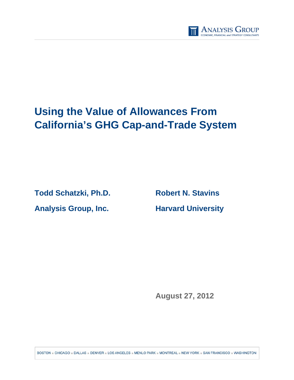

# **Using the Value of Allowances From California's GHG Cap-and-Trade System**

**Todd Schatzki, Ph.D. Robert N. Stavins Analysis Group, Inc. Harvard University** 

**August 27, 2012** 

BOSTON . CHICAGO . DALLAS . DENVER . LOS ANGELES . MENLO PARK . MONTREAL . NEW YORK . SAN FRANCISCO . WASHINGTON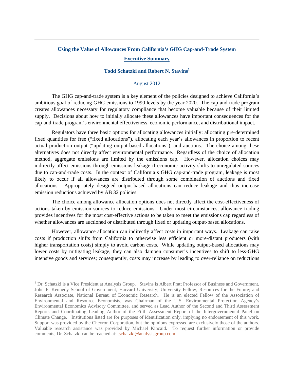# **Using the Value of Allowances From California's GHG Cap-and-Trade System Executive Summary**

# **Todd Schatzki and Robert N. Stavins1**

## August 2012

 The GHG cap-and-trade system is a key element of the policies designed to achieve California's ambitious goal of reducing GHG emissions to 1990 levels by the year 2020. The cap-and-trade program creates allowances necessary for regulatory compliance that become valuable because of their limited supply. Decisions about how to initially allocate these allowances have important consequences for the cap-and-trade program's environmental effectiveness, economic performance, and distributional impact.

Regulators have three basic options for allocating allowances initially: allocating pre-determined fixed quantities for free ("fixed allocations"), allocating each year's allowances in proportion to recent actual production output ("updating output-based allocations"), and auctions. The choice among these alternatives does not directly affect environmental performance. Regardless of the choice of allocation method, aggregate emissions are limited by the emissions cap. However, allocation choices may indirectly affect emissions through emissions leakage if economic activity shifts to unregulated sources due to cap-and-trade costs. In the context of California's GHG cap-and-trade program, leakage is most likely to occur if all allowances are distributed through some combination of auctions and fixed allocations. Appropriately designed output-based allocations can reduce leakage and thus increase emission reductions achieved by AB 32 policies.

The choice among allowance allocation options does not directly affect the cost-effectiveness of actions taken by emission sources to reduce emissions. Under most circumstances, allowance trading provides incentives for the most cost-effective actions to be taken to meet the emissions cap regardless of whether allowances are auctioned or distributed through fixed or updating output-based allocations.

However, allowance allocation can indirectly affect costs in important ways. Leakage can raise costs if production shifts from California to otherwise less efficient or more-distant producers (with higher transportation costs) simply to avoid carbon costs. While updating output-based allocations may lower costs by mitigating leakage, they can also dampen consumer's incentives to shift to less-GHG intensive goods and services; consequently, costs may increase by leading to over-reliance on reductions

<sup>&</sup>lt;sup>1</sup> Dr. Schatzki is a Vice President at Analysis Group. Stavins is Albert Pratt Professor of Business and Government, John F. Kennedy School of Government, Harvard University; University Fellow, Resources for the Future; and Research Associate, National Bureau of Economic Research. He is an elected Fellow of the Association of Environmental and Resource Economists, was Chairman of the U.S. Environmental Protection Agency's Environmental Economics Advisory Committee, and served as Lead Author of the Second and Third Assessment Reports and Coordinating Leading Author of the Fifth Assessment Report of the Intergovernmental Panel on Climate Change. Institutions listed are for purposes of identification only, implying no endorsement of this work. Support was provided by the Chevron Corporation, but the opinions expressed are exclusively those of the authors. Valuable research assistance was provided by Michael Kincaid. To request further information or provide comments, Dr. Schatzki can be reached at: tschatzki@analysisgroup.com.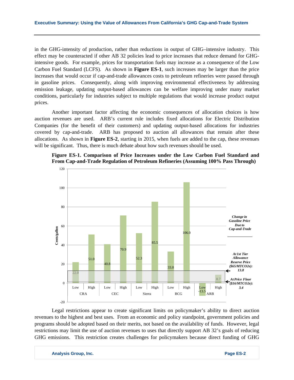in the GHG-intensity of production, rather than reductions in output of GHG–intensive industry. This effect may be counteracted if other AB 32 policies lead to price increases that reduce demand for GHGintensive goods. For example, prices for transportation fuels may increase as a consequence of the Low Carbon Fuel Standard (LCFS). As shown in **Figure ES-1**, such increases may be larger than the price increases that would occur if cap-and-trade allowances costs to petroleum refineries were passed through in gasoline prices. Consequently, along with improving environmental effectiveness by addressing emission leakage, updating output-based allowances can be welfare improving under many market conditions, particularly for industries subject to multiple regulations that would increase product output prices.

Another important factor affecting the economic consequences of allocation choices is how auction revenues are used. ARB's current rule includes fixed allocations for Electric Distribution Companies (for the benefit of their customers) and updating output-based allocations for industries covered by cap-and-trade. ARB has proposed to auction all allowances that remain after these allocations. As shown in **Figure ES-2**, starting in 2015, when fuels are added to the cap, these revenues will be significant. Thus, there is much debate about how such revenues should be used.





Legal restrictions appear to create significant limits on policymaker's ability to direct auction revenues to the highest and best uses. From an economic and policy standpoint, government policies and programs should be adopted based on their merits, not based on the availability of funds. However, legal restrictions may limit the use of auction revenues to uses that directly support AB 32's goals of reducing GHG emissions. This restriction creates challenges for policymakers because direct funding of GHG

**Analysis Group, Inc. Page ES-2**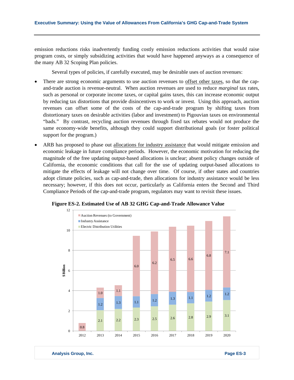emission reductions risks inadvertently funding costly emission reductions activities that would raise program costs, or simply subsidizing activities that would have happened anyways as a consequence of the many AB 32 Scoping Plan policies.

Several types of policies, if carefully executed, may be desirable uses of auction revenues:

- There are strong economic arguments to use auction revenues to <u>offset other taxes</u>, so that the capand-trade auction is revenue-neutral. When auction revenues are used to reduce *marginal* tax rates, such as personal or corporate income taxes, or capital gains taxes, this can increase economic output by reducing tax distortions that provide disincentives to work or invest. Using this approach, auction revenues can offset some of the costs of the cap-and-trade program by shifting taxes from distortionary taxes on desirable activities (labor and investment) to Pigouvian taxes on environmental "bads." By contrast, recycling auction revenues through fixed tax rebates would not produce the same economy-wide benefits, although they could support distributional goals (or foster political support for the program.)
- ARB has proposed to phase out allocations for industry assistance that would mitigate emission and economic leakage in future compliance periods. However, the economic motivation for reducing the magnitude of the free updating output-based allocations is unclear; absent policy changes outside of California, the economic conditions that call for the use of updating output-based allocations to mitigate the effects of leakage will not change over time. Of course, if other states and countries adopt climate policies, such as cap-and-trade, then allocations for industry assistance would be less necessary; however, if this does not occur, particularly as California enters the Second and Third Compliance Periods of the cap-and-trade program, regulators may want to revisit these issues.



**Figure ES-2. Estimated Use of AB 32 GHG Cap-and-Trade Allowance Value**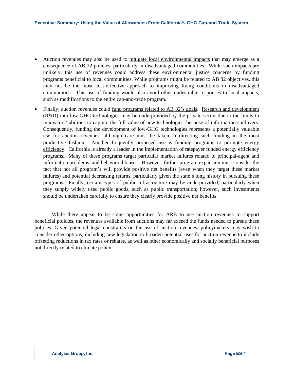- Auction revenues may also be used to mitigate local environmental impacts that may emerge as a consequence of AB 32 policies, particularly in disadvantaged communities. While such impacts are unlikely, this use of revenues could address these environmental justice concerns by funding programs beneficial to local communities. While programs might be related to AB 32 objectives, this may not be the most cost-effective approach to improving living conditions in disadvantaged communities. This use of funding would also avoid other undesirable responses to local impacts, such as modifications to the entire cap-and-trade program.
- Finally, auction revenues could fund programs related to AB 32's goals. Research and development (R&D) into low-GHG technologies may be underprovided by the private sector due to the limits to innovators' abilities to capture the full value of new technologies, because of information spillovers. Consequently, funding the development of low-GHG technologies represents a potentially valuable use for auction revenues, although care must be taken in directing such funding in the most productive fashion. Another frequently proposed use is funding programs to promote energy efficiency. California is already a leader in the implementation of ratepayer funded energy efficiency programs. Many of these programs target particular market failures related to principal-agent and information problems, and behavioral biases. However, further program expansion must consider the fact that not all program's will provide positive net benefits (even when they target these market failures) and potential decreasing returns, particularly given the state's long history in pursuing these programs. Finally, certain types of public infrastructure may be underprovided, particularly when they supply widely used public goods, such as public transportation; however, such investments should be undertaken carefully to ensure they clearly provide positive net benefits.

While there appear to be some opportunities for ARB to use auction revenues to support beneficial policies, the revenues available from auctions may far exceed the funds needed to pursue these policies. Given potential legal constraints on the use of auction revenues, policymakers may wish to consider other options, including new legislation to broaden potential uses for auction revenue to include offsetting reductions in tax rates or rebates, as well as other economically and socially beneficial purposes not directly related to climate policy.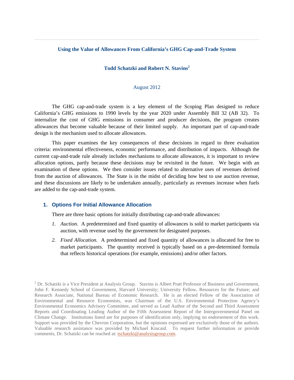## **Using the Value of Allowances From California's GHG Cap-and-Trade System**

# **Todd Schatzki and Robert N. Stavins<sup>2</sup>**

## August 2012

 The GHG cap-and-trade system is a key element of the Scoping Plan designed to reduce California's GHG emissions to 1990 levels by the year 2020 under Assembly Bill 32 (AB 32). To internalize the cost of GHG emissions in consumer and producer decisions, the program creates allowances that become valuable because of their limited supply. An important part of cap-and-trade design is the mechanism used to allocate allowances.

This paper examines the key consequences of these decisions in regard to three evaluation criteria: environmental effectiveness, economic performance, and distribution of impacts. Although the current cap-and-trade rule already includes mechanisms to allocate allowances, it is important to review allocation options, partly because these decisions may be revisited in the future. We begin with an examination of these options. We then consider issues related to alternative uses of revenues derived from the auction of allowances. The State is in the midst of deciding how best to use auction revenue, and these discussions are likely to be undertaken annually, particularly as revenues increase when fuels are added to the cap-and-trade system.

## **1. Options For Initial Allowance Allocation**

There are three basic options for initially distributing cap-and-trade allowances:

- *1. Auction*. A predetermined and fixed quantity of allowances is sold to market participants via auction, with revenue used by the government for designated purposes.
- *2. Fixed Allocation.* A predetermined and fixed quantity of allowances is allocated for free to market participants. The quantity received is typically based on a pre-determined formula that reflects historical operations (for example, emissions) and/or other factors.

 $2^{2}$  Dr. Schatzki is a Vice President at Analysis Group. Stavins is Albert Pratt Professor of Business and Government, John F. Kennedy School of Government, Harvard University; University Fellow, Resources for the Future; and Research Associate, National Bureau of Economic Research. He is an elected Fellow of the Association of Environmental and Resource Economists, was Chairman of the U.S. Environmental Protection Agency's Environmental Economics Advisory Committee, and served as Lead Author of the Second and Third Assessment Reports and Coordinating Leading Author of the Fifth Assessment Report of the Intergovernmental Panel on Climate Change. Institutions listed are for purposes of identification only, implying no endorsement of this work. Support was provided by the Chevron Corporation, but the opinions expressed are exclusively those of the authors. Valuable research assistance was provided by Michael Kincaid. To request further information or provide comments, Dr. Schatzki can be reached at: tschatzki@analysisgroup.com.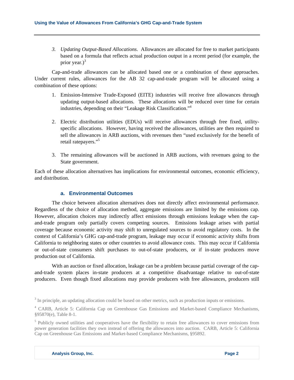*3. Updating Output-Based Allocations*. Allowances are allocated for free to market participants based on a formula that reflects actual production output in a recent period (for example, the prior year.) $3$ 

Cap-and-trade allowances can be allocated based one or a combination of these approaches. Under current rules, allowances for the AB 32 cap-and-trade program will be allocated using a combination of these options:

- 1. Emission-Intensive Trade-Exposed (EITE) industries will receive free allowances through updating output-based allocations. These allocations will be reduced over time for certain industries, depending on their "Leakage Risk Classification."4
- 2. Electric distribution utilities (EDUs) will receive allowances through free fixed, utilityspecific allocations. However, having received the allowances, utilities are then required to sell the allowances in ARB auctions, with revenues then "used exclusively for the benefit of retail ratepayers."<sup>5</sup>
- 3. The remaining allowances will be auctioned in ARB auctions, with revenues going to the State government.

Each of these allocation alternatives has implications for environmental outcomes, economic efficiency, and distribution.

# **a. Environmental Outcomes**

The choice between allocation alternatives does not directly affect environmental performance. Regardless of the choice of allocation method, aggregate emissions are limited by the emissions cap. However, allocation choices may indirectly affect emissions through emissions leakage when the capand-trade program only partially covers competing sources. Emissions leakage arises with partial coverage because economic activity may shift to unregulated sources to avoid regulatory costs. In the context of California's GHG cap-and-trade program, leakage may occur if economic activity shifts from California to neighboring states or other countries to avoid allowance costs. This may occur if California or out-of-state consumers shift purchases to out-of-state producers, or if in-state producers move production out of California.

With an auction or fixed allocation, leakage can be a problem because partial coverage of the capand-trade system places in-state producers at a competitive disadvantage relative to out-of-state producers. Even though fixed allocations may provide producers with free allowances, producers still

 $3$  In principle, an updating allocation could be based on other metrics, such as production inputs or emissions.

<sup>4</sup> CARB, Article 5: California Cap on Greenhouse Gas Emissions and Market-based Compliance Mechanisms, §95870(e), Table 8-1.

<sup>&</sup>lt;sup>5</sup> Publicly owned utilities and cooperatives have the flexibility to retain free allowances to cover emissions from power generation facilities they own instead of offering the allowances into auction. CARB, Article 5: California Cap on Greenhouse Gas Emissions and Market-based Compliance Mechanisms, §95892.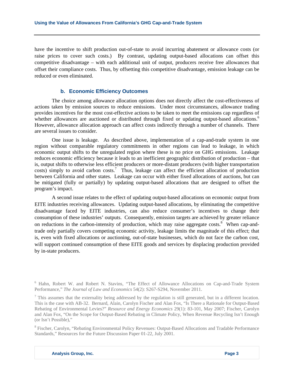have the incentive to shift production out-of-state to avoid incurring abatement or allowance costs (or raise prices to cover such costs.) By contrast, updating output-based allocations can offset this competitive disadvantage – with each additional unit of output, producers receive free allowances that offset their compliance costs. Thus, by offsetting this competitive disadvantage, emission leakage can be reduced or even eliminated.

## **b. Economic Efficiency Outcomes**

The choice among allowance allocation options does not directly affect the cost-effectiveness of actions taken by emission sources to reduce emissions. Under most circumstances, allowance trading provides incentives for the most cost-effective actions to be taken to meet the emissions cap regardless of whether allowances are auctioned or distributed through fixed or updating output-based allocations.<sup>6</sup> However, allowance allocation approach can affect costs indirectly through a number of channels. There are several issues to consider.

One issue is leakage. As described above, implementation of a cap-and-trade system in one region without comparable regulatory commitments in other regions can lead to leakage, in which economic output shifts to the unregulated region where these is no price on GHG emissions. Leakage reduces economic efficiency because it leads to an inefficient geographic distribution of production – that is, output shifts to otherwise less efficient producers or more-distant producers (with higher transportation  $costs)$  simply to avoid carbon costs.<sup>7</sup> Thus, leakage can affect the efficient allocation of production between California and other states. Leakage can occur with either fixed allocations of auctions, but can be mitigated (fully or partially) by updating output-based allocations that are designed to offset the program's impact.

A second issue relates to the effect of updating output-based allocations on economic output from EITE industries receiving allowances. Updating output-based allocations, by eliminating the competitive disadvantage faced by EITE industries, can also reduce consumer's incentives to change their consumption of these industries' outputs. Consequently, emission targets are achieved by greater reliance on reductions in the carbon-intensity of production, which may raise aggregate costs.<sup>8</sup> When cap-andtrade only partially covers competing economic activity, leakage limits the magnitude of this effect; that is, even with fixed allocations or auctioning, out-of-state businesses, which do not face the carbon cost, will support continued consumption of these EITE goods and services by displacing production provided by in-state producers.

<sup>8</sup> Fischer, Carolyn, "Rebating Environmental Policy Revenues: Output-Based Allocations and Tradable Performance Standards," Resources for the Future Discussion Paper 01-22, July 2001.

<sup>&</sup>lt;sup>6</sup> Hahn, Robert W. and Robert N. Stavins, "The Effect of Allowance Allocations on Cap-and-Trade System Performance," *The Journal of Law and Economics* 54(2): S267-S294, November 2011.

 $<sup>7</sup>$  This assumes that the externality being addressed by the regulation is still generated, but in a different location.</sup> This is the case with AB-32. Bernard, Alain, Carolyn Fischer and Alan Fox, "Is There a Rationale for Output-Based Rebating of Environmental Levies?" *Resource and Energy Economics* 29(1): 83-101, May 2007; Fischer, Carolyn and Alan Fox, "On the Scope for Output-Based Rebating in Climate Policy, When Revenue Recycling Isn't Enough (or Isn't Possible),"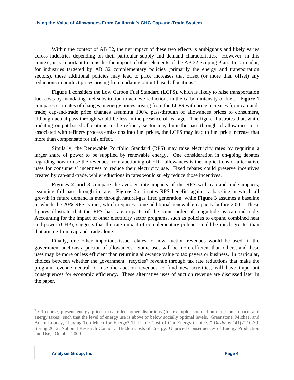Within the context of AB 32, the net impact of these two effects is ambiguous and likely varies across industries depending on their particular supply and demand characteristics. However, in this context, it is important to consider the impact of other elements of the AB 32 Scoping Plan. In particular, for industries targeted by AB 32 complementary policies (primarily the energy and transportation sectors), these additional policies may lead to price increases that offset (or more than offset) any reductions in product prices arising from updating output-based allocations.<sup>9</sup>

**Figure 1** considers the Low Carbon Fuel Standard (LCFS), which is likely to raise transportation fuel costs by mandating fuel substitution to achieve reductions in the carbon intensity of fuels. **Figure 1** compares estimates of changes in energy prices arising from the LCFS with price increases from cap-andtrade; cap-and-trade price changes assuming 100% pass-through of allowances prices to consumers, although actual pass-through would be less in the presence of leakage. The figure illustrates that, while updating output-based allocations to the refinery sector may limit the pass-through of allowance costs associated with refinery process emissions into fuel prices, the LCFS may lead to fuel price increase that more than compensate for this effect.

Similarly, the Renewable Portfolio Standard (RPS) may raise electricity rates by requiring a larger share of power to be supplied by renewable energy. One consideration in on-going debates regarding how to use the revenues from auctioning of EDU allowances is the implications of alternative uses for consumers' incentives to reduce their electricity use. Fixed rebates could preserve incentives created by cap-and-trade, while reductions in rates would surely reduce those incentives.

**Figures 2 and 3** compare the average rate impacts of the RPS with cap-and-trade impacts, assuming full pass-through in rates; **Figure 2** estimates RPS benefits against a baseline in which all growth in future demand is met through natural-gas fired generation, while **Figure 3** assumes a baseline in which the 20% RPS is met, which requires some additional renewable capacity before 2020. These figures illustrate that the RPS has rate impacts of the same order of magnitude as cap-and-trade. Accounting for the impact of other electricity sector programs, such as policies to expand combined heat and power (CHP), suggests that the rate impact of complementary policies could be much greater than that arising from cap-and-trade alone.

Finally, one other important issue relates to how auction revenues would be used, if the government auctions a portion of allowances. Some uses will be more efficient than others, and these uses may be more or less efficient than returning allowance value to tax payers or business. In particular, choices between whether the government "recycles" revenue through tax rate reductions that make the program revenue neutral, or use the auction revenues to fund new activities, will have important consequences for economic efficiency. These alternative uses of auction revenue are discussed later in the paper.

<sup>&</sup>lt;sup>9</sup> Of course, present energy prices may reflect other distortions (for example, non-carbon emission impacts and energy taxes), such that the level of energy use is above or below socially optimal levels. Greenstone, Michael and Adam Looney, "Paying Too Much for Energy? The True Cost of Our Energy Choices," *Dædalus* 141(2):10-30, Spring 2012; National Research Council, "Hidden Costs of Energy: Unpriced Consequences of Energy Production and Use," October 2009.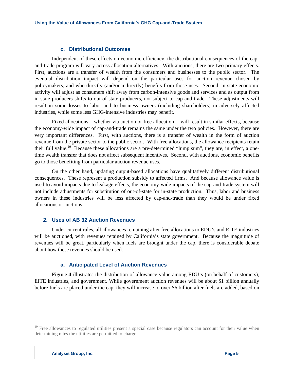#### **c. Distributional Outcomes**

Independent of these effects on economic efficiency, the distributional consequences of the capand-trade program will vary across allocation alternatives. With auctions, there are two primary effects. First, auctions are a transfer of wealth from the consumers and businesses to the public sector. The eventual distribution impact will depend on the particular uses for auction revenue chosen by policymakers, and who directly (and/or indirectly) benefits from those uses. Second, in-state economic activity will adjust as consumers shift away from carbon-intensive goods and services and as output from in-state producers shifts to out-of-state producers, not subject to cap-and-trade. These adjustments will result in some losses to labor and to business owners (including shareholders) in adversely affected industries, while some less GHG-intensive industries may benefit.

Fixed allocations – whether via auction or free allocation -- will result in similar effects, because the economy-wide impact of cap-and-trade remains the same under the two policies. However, there are very important differences. First, with auctions, there is a transfer of wealth in the form of auction revenue from the private sector to the public sector. With free allocations, the allowance recipients retain their full value.<sup>10</sup> Because these allocations are a pre-determined "lump sum", they are, in effect, a onetime wealth transfer that does not affect subsequent incentives. Second, with auctions, economic benefits go to those benefiting from particular auction revenue uses.

On the other hand, updating output-based allocations have qualitatively different distributional consequences. These represent a production subsidy to affected firms. And because allowance value is used to avoid impacts due to leakage effects, the economy-wide impacts of the cap-and-trade system will not include adjustments for substitution of out-of-state for in-state production. Thus, labor and business owners in these industries will be less affected by cap-and-trade than they would be under fixed allocations or auctions.

# **2. Uses of AB 32 Auction Revenues**

Under current rules, all allowances remaining after free allocations to EDU's and EITE industries will be auctioned, with revenues retained by California's state government. Because the magnitude of revenues will be great, particularly when fuels are brought under the cap, there is considerable debate about how these revenues should be used.

#### **a. Anticipated Level of Auction Revenues**

**Figure 4** illustrates the distribution of allowance value among EDU's (on behalf of customers), EITE industries, and government. While government auction revenues will be about \$1 billion annually before fuels are placed under the cap, they will increase to over \$6 billion after fuels are added, based on

<sup>&</sup>lt;sup>10</sup> Free allowances to regulated utilities present a special case because regulators can account for their value when determining rates the utilities are permitted to charge.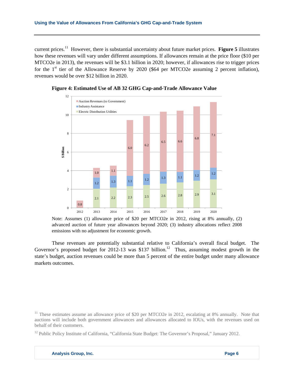current prices.11 However, there is substantial uncertainty about future market prices. **Figure 5** illustrates how these revenues will vary under different assumptions. If allowances remain at the price floor (\$10 per MTCO2e in 2013), the revenues will be \$3.1 billion in 2020; however, if allowances rise to trigger prices for the  $1<sup>st</sup>$  tier of the Allowance Reserve by 2020 (\$64 per MTCO2e assuming 2 percent inflation), revenues would be over \$12 billion in 2020.





Note: Assumes (1) allowance price of \$20 per MTCO2e in 2012, rising at 8% annually, (2) advanced auction of future year allowances beyond 2020; (3) industry allocations reflect 2008 emissions with no adjustment for economic growth.

These revenues are potentially substantial relative to California's overall fiscal budget. The Governor's proposed budget for 2012-13 was \$137 billion.<sup>12</sup> Thus, assuming modest growth in the state's budget, auction revenues could be more than 5 percent of the entire budget under many allowance markets outcomes.

<sup>&</sup>lt;sup>11</sup> These estimates assume an allowance price of \$20 per MTCO2e in 2012, escalating at 8% annually. Note that auctions will include both government allowances and allowances allocated to IOUs, with the revenues used on behalf of their customers.

<sup>&</sup>lt;sup>12</sup> Public Policy Institute of California, "California State Budget: The Governor's Proposal," January 2012.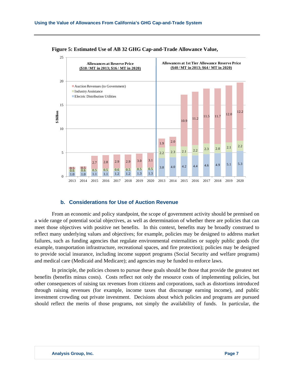

**Figure 5: Estimated Use of AB 32 GHG Cap-and-Trade Allowance Value,** 

## **b. Considerations for Use of Auction Revenue**

From an economic and policy standpoint, the scope of government activity should be premised on a wide range of potential social objectives, as well as determination of whether there are policies that can meet those objectives with positive net benefits. In this context, benefits may be broadly construed to reflect many underlying values and objectives; for example, policies may be designed to address market failures, such as funding agencies that regulate environmental externalities or supply public goods (for example, transportation infrastructure, recreational spaces, and fire protection); policies may be designed to provide social insurance, including income support programs (Social Security and welfare programs) and medical care (Medicaid and Medicare); and agencies may be funded to enforce laws.

In principle, the policies chosen to pursue these goals should be those that provide the greatest net benefits (benefits minus costs). Costs reflect not only the resource costs of implementing policies, but other consequences of raising tax revenues from citizens and corporations, such as distortions introduced through raising revenues (for example, income taxes that discourage earning income), and public investment crowding out private investment. Decisions about which policies and programs are pursued should reflect the merits of those programs, not simply the availability of funds. In particular, the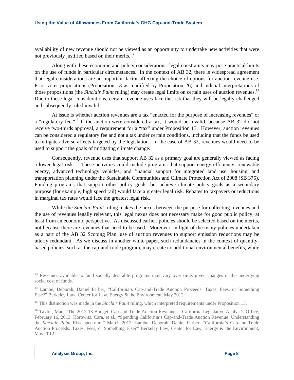availability of new revenue should not be viewed as an opportunity to undertake new activities that were not previously justified based on their merits.<sup>13</sup>

Along with these economic and policy considerations, legal constraints may pose practical limits on the use of funds in particular circumstances. In the context of AB 32, there is widespread agreement that legal considerations are an important factor affecting the choice of options for auction revenue use. Prior voter propositions (Proposition 13 as modified by Proposition 26) and judicial interpretations of those propositions (the *Sinclair Paint* ruling) may create legal limits on certain uses of auction revenues.<sup>14</sup> Due to these legal considerations, certain revenue uses face the risk that they will be legally challenged and subsequently ruled invalid.

At issue is whether auction revenues are a tax "enacted for the purpose of increasing revenues" or a "regulatory fee."15 If the auction were considered a tax, it would be invalid, because AB 32 did not receive two-thirds approval, a requirement for a "tax" under Proposition 13. However, auction revenues can be considered a regulatory fee and not a tax under certain conditions, including that the funds be used to mitigate adverse affects targeted by the legislation. In the case of AB 32, revenues would need to be used to support the goals of mitigating climate change.

Consequently, revenue uses that support AB 32 as a primary goal are generally viewed as facing a lower legal risk.<sup>16</sup> These activities could include programs that support energy efficiency, renewable energy, advanced technology vehicles, and financial support for integrated land use, housing, and transportation planning under the Sustainable Communities and Climate Protection Act of 2008 (SB 375). Funding programs that support other policy goals, but achieve climate policy goals as a secondary purpose (for example, high speed rail) would face a greater legal risk. Rebates to taxpayers or reductions in marginal tax rates would face the greatest legal risk.

While the *Sinclair Paint* ruling makes the nexus between the purpose for collecting revenues and the use of revenues legally relevant, this legal nexus does not necessary make for good public policy, at least from an economic perspective. As discussed earlier, policies should be selected based on the merits, not because there are revenues that need to be used. Moreover, in light of the many policies undertaken as a part of the AB 32 Scoping Plan, use of auction revenues to support emission reductions may be utterly redundant. As we discuss in another white paper, such redundancies in the context of quantitybased policies, such as the cap-and-trade program, may create no additional environmental benefits, while

<sup>&</sup>lt;sup>13</sup> Revenues available to fund socially desirable programs may vary over time, given changes in the underlying social cost of funds.

<sup>&</sup>lt;sup>14</sup> Lambe, Deborah, Daniel Farber, "California's Cap-and-Trade Auction Proceeds: Taxes, Fees, or Something Else?" Berkeley Law, Center for Law, Energy & the Environment, May 2012.

<sup>&</sup>lt;sup>15</sup> This distinction was made in the *Sinclair Paint* ruling, which interpreted requirements under Proposition 13.

<sup>&</sup>lt;sup>16</sup> Taylor, Mac, "The 2012-13 Budget: Cap-and-Trade Auction Revenues," California Legislative Analyst's Office, February 16, 2013: Horowitz, Cara, et al., "Spending California's Cap-and-Trade Auction Revenue: Understanding the *Sinclair Paint* Risk spectrum," March 2012; Lambe, Deborah, Daniel Farber, "California's Cap-and-Trade Auction Proceeds: Taxes, Fees, or Something Else?" Berkeley Law, Center for Law, Energy & the Environment, May 2012.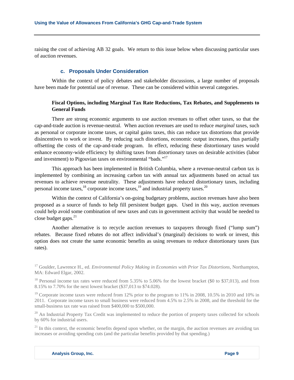raising the cost of achieving AB 32 goals. We return to this issue below when discussing particular uses of auction revenues.

# **c. Proposals Under Consideration**

Within the context of policy debates and stakeholder discussions, a large number of proposals have been made for potential use of revenue. These can be considered within several categories.

# **Fiscal Options, including Marginal Tax Rate Reductions, Tax Rebates, and Supplements to General Funds**

There are strong economic arguments to use auction revenues to offset other taxes, so that the cap-and-trade auction is revenue-neutral. When auction revenues are used to reduce *marginal* taxes, such as personal or corporate income taxes, or capital gains taxes, this can reduce tax distortions that provide disincentives to work or invest. By reducing such distortions, economic output increases, thus partially offsetting the costs of the cap-and-trade program. In effect, reducing these distortionary taxes would enhance economy-wide efficiency by shifting taxes from distortionary taxes on desirable activities (labor and investment) to Pigouvian taxes on environmental "bads."<sup>17</sup>

This approach has been implemented in British Columbia, where a revenue-neutral carbon tax is implemented by combining an increasing carbon tax with annual tax adjustments based on actual tax revenues to achieve revenue neutrality. These adjustments have reduced distortionary taxes, including personal income taxes,  $^{18}$  corporate income taxes,  $^{19}$  and industrial property taxes.<sup>20</sup>

Within the context of California's on-going budgetary problems, auction revenues have also been proposed as a source of funds to help fill persistent budget gaps. Used in this way, auction revenues could help avoid some combination of new taxes and cuts in government activity that would be needed to close budget gaps. $^{21}$ 

Another alternative is to recycle auction revenues to taxpayers through fixed ("lump sum") rebates. Because fixed rebates do not affect individual's (marginal) decisions to work or invest, this option does not create the same economic benefits as using revenues to reduce distortionary taxes (tax rates).

<sup>17</sup> Goulder, Lawrence H., ed. *Environmental Policy Making in Economies with Prior Tax Distortions*, Northampton, MA: Edward Elgar, 2002.

<sup>&</sup>lt;sup>18</sup> Personal income tax rates were reduced from 5.35% to 5.06% for the lowest bracket (\$0 to \$37,013), and from 8.15% to 7.70% for the next lowest bracket (\$37,013 to \$74.028).

<sup>&</sup>lt;sup>19</sup> Corporate income taxes were reduced from 12% prior to the program to 11% in 2008, 10.5% in 2010 and 10% in 2011. Corporate income taxes to small business were reduced from 4.5% to 2.5% in 2008, and the threshold for the small-business tax rate was raised from \$400,000 to \$500,000.

 $20$  An Industrial Property Tax Credit was implemented to reduce the portion of property taxes collected for schools by 60% for industrial users.

 $21$  In this context, the economic benefits depend upon whether, on the margin, the auction revenues are avoiding tax increases or avoiding spending cuts (and the particular benefits provided by that spending.)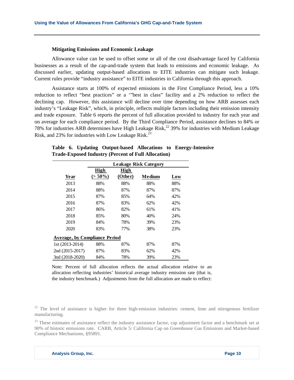#### **Mitigating Emissions and Economic Leakage**

Allowance value can be used to offset some or all of the cost disadvantage faced by California businesses as a result of the cap-and-trade system that leads to emissions and economic leakage. As discussed earlier, updating output-based allocations to EITE industries can mitigate such leakage. Current rules provide "industry assistance" to EITE industries in California through this approach.

Assistance starts at 100% of expected emissions in the First Compliance Period, less a 10% reduction to reflect "best practices" or a '"best in class" facility and a 2% reduction to reflect the declining cap. However, this assistance will decline over time depending on how ARB assesses each industry's "Leakage Risk", which, in principle, reflects multiple factors including their emission intensity and trade exposure. Table 6 reports the percent of full allocation provided to industry for each year and on average for each compliance period. By the Third Compliance Period, assistance declines to 84% or 78% for industries ARB determines have High Leakage Risk,<sup>22</sup> 39% for industries with Medium Leakage Risk, and 23% for industries with Low Leakage Risk.<sup>23</sup>

|                                      | <b>Leakage Risk Category</b> |             |        |     |  |
|--------------------------------------|------------------------------|-------------|--------|-----|--|
|                                      | High                         | <b>High</b> |        |     |  |
| Year                                 | $(> 50\%)$                   | (Other)     | Medium | Low |  |
| 2013                                 | 88%                          | 88%         | 88%    | 88% |  |
| 2014                                 | 88%                          | 87%         | 87%    | 87% |  |
| 2015                                 | 87%                          | 85%         | 64%    | 42% |  |
| 2016                                 | 87%                          | 83%         | 62%    | 42% |  |
| 2017                                 | 86%                          | 82%         | 61%    | 41% |  |
| 2018                                 | 85%                          | 80%         | 40%    | 24% |  |
| 2019                                 | 84%                          | 78%         | 39%    | 23% |  |
| 2020                                 | 83%                          | 77%         | 38%    | 23% |  |
| <b>Average, by Compliance Period</b> |                              |             |        |     |  |
| 1st (2013-2014)                      | 88%                          | 87%         | 87%    | 87% |  |
| 2nd (2015-2017)                      | 87%                          | 83%         | 62%    | 42% |  |
| 3nd (2018-2020)                      | 84%                          | 78%         | 39%    | 23% |  |

**Table 6. Updating Output-based Allocations to Energy-Intensive Trade-Exposed Industry (Percent of Full Allocation)** 

Note: Percent of full allocation reflects the actual allocation relative to an allocation reflecting industries' historical average industry emission rate (that is, the industry benchmark.) Adjustments from the full allocation are made to reflect:

 $22$  The level of assistance is higher for three high-emission industries: cement, lime and nitrogenous fertilizer manufacturing.

 $23$  These estimates of assistance reflect the industry assistance factor, cap adjustment factor and a benchmark set at 90% of historic emissions rate. CARB, Article 5: California Cap on Greenhouse Gas Emissions and Market-based Compliance Mechanisms, §95891.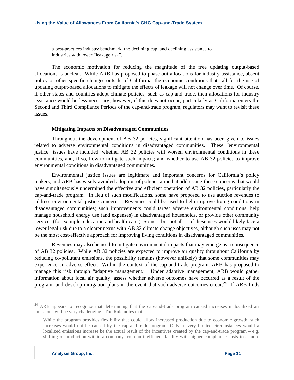a best-practices industry benchmark, the declining cap, and declining assistance to industries with lower "leakage risk".

The economic motivation for reducing the magnitude of the free updating output-based allocations is unclear. While ARB has proposed to phase out allocations for industry assistance, absent policy or other specific changes outside of California, the economic conditions that call for the use of updating output-based allocations to mitigate the effects of leakage will not change over time. Of course, if other states and countries adopt climate policies, such as cap-and-trade, then allocations for industry assistance would be less necessary; however, if this does not occur, particularly as California enters the Second and Third Compliance Periods of the cap-and-trade program, regulators may want to revisit these issues.

## **Mitigating Impacts on Disadvantaged Communities**

Throughout the development of AB 32 policies, significant attention has been given to issues related to adverse environmental conditions in disadvantaged communities. These "environmental justice" issues have included: whether AB 32 policies will worsen environmental conditions in these communities, and, if so, how to mitigate such impacts; and whether to use AB 32 policies to improve environmental conditions in disadvantaged communities.

Environmental justice issues are legitimate and important concerns for California's policy makers, and ARB has wisely avoided adoption of policies aimed at addressing these concerns that would have simultaneously undermined the effective and efficient operation of AB 32 policies, particularly the cap-and-trade program. In lieu of such modifications, some have proposed to use auction revenues to address environmental justice concerns. Revenues could be used to help improve living conditions in disadvantaged communities; such improvements could target adverse environmental conditions, help manage household energy use (and expenses) in disadvantaged households, or provide other community services (for example, education and health care.) Some – but not all -- of these uses would likely face a lower legal risk due to a clearer nexus with AB 32 climate change objectives, although such uses may not be the most cost-effective approach for improving living conditions in disadvantaged communities.

Revenues may also be used to mitigate environmental impacts that may emerge as a consequence of AB 32 policies. While AB 32 policies are expected to improve air quality throughout California by reducing co-pollutant emissions, the possibility remains (however unlikely) that some communities may experience an adverse effect. Within the context of the cap-and-trade program, ARB has proposed to manage this risk through "adaptive management." Under adaptive management, ARB would gather information about local air quality, assess whether adverse outcomes have occurred as a result of the program, and develop mitigation plans in the event that such adverse outcomes occur.<sup>24</sup> If ARB finds

<sup>&</sup>lt;sup>24</sup> ARB appears to recognize that determining that the cap-and-trade program caused increases in localized air emissions will be very challenging. The Rule notes that:

While the program provides flexibility that could allow increased production due to economic growth, such increases would not be caused by the cap-and-trade program. Only in very limited circumstances would a localized emissions increase be the actual result of the incentives created by the cap-and-trade program – e.g. shifting of production within a company from an inefficient facility with higher compliance costs to a more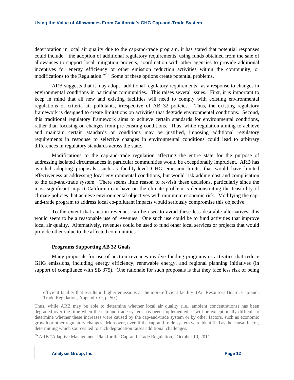deterioration in local air quality due to the cap-and-trade program, it has stated that potential responses could include: "the adoption of additional regulatory requirements, using funds obtained from the sale of allowances to support local mitigation projects, coordination with other agencies to provide additional incentives for energy efficiency or other emission reduction activities within the community, or modifications to the Regulation."<sup>25</sup> Some of these options create potential problems.

ARB suggests that it may adopt "additional regulatory requirements" as a response to changes in environmental conditions in particular communities. This raises several issues. First, it is important to keep in mind that all new and existing facilities will need to comply with existing environmental regulations of criteria air pollutants, irrespective of AB 32 policies. Thus, the existing regulatory framework is designed to create limitations on activities that degrade environmental conditions. Second, this traditional regulatory framework aims to achieve certain standards for environmental conditions, rather than focusing on changes from pre-existing conditions. Thus, while regulation aiming to achieve and maintain certain standards or conditions may be justified, imposing additional regulatory requirements in response to selective changes in environmental conditions could lead to arbitrary differences in regulatory standards across the state.

Modifications to the cap-and-trade regulation affecting the entire state for the purpose of addressing isolated circumstances in particular communities would be exceptionally imprudent. ARB has avoided adopting proposals, such as facility-level GHG emission limits, that would have limited effectiveness at addressing local environmental conditions, but would risk adding cost and complication to the cap-and-trade system. There seems little reason to re-visit these decisions, particularly since the most significant impact California can have on the climate problem is demonstrating the feasibility of climate policies that achieve environmental objectives with minimum economic risk. Modifying the capand-trade program to address local co-pollutant impacts would seriously compromise this objective.

To the extent that auction revenues can be used to avoid these less desirable alternatives, this would seem to be a reasonable use of revenues. One such use could be to fund activities that improve local air quality. Alternatively, revenues could be used to fund other local services or projects that would provide other value to the affected communities.

#### **Programs Supporting AB 32 Goals**

Many proposals for use of auction revenues involve funding programs or activities that reduce GHG emissions, including energy efficiency, renewable energy, and regional planning initiatives (in support of compliance with SB 375). One rationale for such proposals is that they face less risk of being

efficient facility that results in higher emissions at the more efficient facility. (Air Resources Board, Cap-and-Trade Regulation, Appendix O, p. 50.)

Thus, while ARB may be able to determine whether local air quality (i.e., ambient concentrations) has been degraded over the time when the cap-and-trade system has been implemented, it will be exceptionally difficult to determine whether these increases were caused by the cap-and-trade system or by other factors, such as economic growth or other regulatory changes. Moreover, even if the cap-and-trade system were identified as the causal factor, determining which sources led to such degradation raises additional challenges.

<sup>25</sup> ARB "Adaptive Management Plan for the Cap-and-Trade Regulation," October 10, 2011.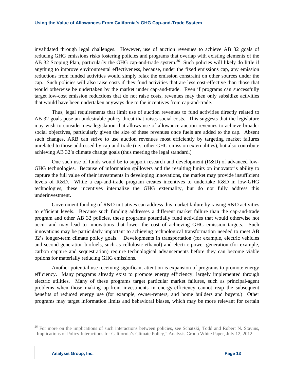invalidated through legal challenges. However, use of auction revenues to achieve AB 32 goals of reducing GHG emissions risks fostering policies and programs that overlap with existing elements of the AB 32 Scoping Plan, particularly the GHG cap-and-trade system.<sup>26</sup> Such policies will likely do little if anything to improve environmental effectiveness, because, under the fixed emissions cap, any emission reductions from funded activities would simply relax the emission constraint on other sources under the cap. Such policies will also raise costs if they fund activities that are less cost-effective than those that would otherwise be undertaken by the market under cap-and-trade. Even if programs can successfully target low-cost emission reductions that do not raise costs, revenues may then only subsidize activities that would have been undertaken anyways due to the incentives from cap-and-trade.

Thus, legal requirements that limit use of auction revenues to fund activities directly related to AB 32 goals pose an undesirable policy threat that raises social costs. This suggests that the legislature may wish to consider new legislation that allows use of allowance auction revenues to achieve broader social objectives, particularly given the size of these revenues once fuels are added to the cap. Absent such changes, ARB can strive to use auction revenues most efficiently by targeting market failures unrelated to those addressed by cap-and-trade (i.e., other GHG emission externalities), but also contribute achieving AB 32's climate change goals (thus meeting the legal standard.)

One such use of funds would be to support research and development (R&D) of advanced low-GHG technologies. Because of information spillovers and the resulting limits on innovator's ability to capture the full value of their investments in developing innovations, the market may provide insufficient levels of R&D. While a cap-and-trade program creates incentives to undertake R&D in low-GHG technologies, these incentives internalize the GHG externality, but do not fully address this underinvestment.

Government funding of R&D initiatives can address this market failure by raising R&D activities to efficient levels. Because such funding addresses a different market failure than the cap-and-trade program and other AB 32 policies, these programs potentially fund activities that would otherwise not occur and may lead to innovations that lower the cost of achieving GHG emission targets. Such innovations may be particularly important to achieving technological transformation needed to meet AB 32's longer-term climate policy goals. Developments in transportation (for example, electric vehicles and second-generation biofuels, such as cellulosic ethanol) and electric power generation (for example, carbon capture and sequestration) require technological advancements before they can become viable options for materially reducing GHG emissions.

Another potential use receiving significant attention is expansion of programs to promote energy efficiency. Many programs already exist to promote energy efficiency, largely implemented through electric utilities. Many of these programs target particular market failures, such as principal-agent problems when those making up-front investments in energy-efficiency cannot reap the subsequent benefits of reduced energy use (for example, owner-renters, and home builders and buyers.) Other programs may target information limits and behavioral biases, which may be more relevant for certain

<sup>&</sup>lt;sup>26</sup> For more on the implications of such interactions between policies, see Schatzki, Todd and Robert N. Stavins, "Implications of Policy Interactions for California's Climate Policy," Analysis Group White Paper, July 12, 2012.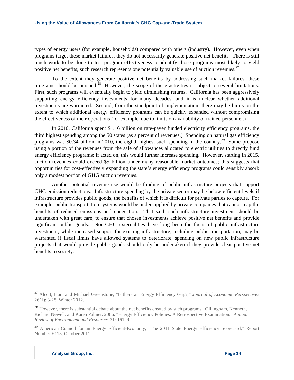types of energy users (for example, households) compared with others (industry). However, even when programs target these market failures, they do not necessarily generate positive net benefits. There is still much work to be done to test program effectiveness to identify those programs most likely to yield positive net benefits; such research represents one potentially valuable use of auction revenues.<sup>27</sup>

To the extent they generate positive net benefits by addressing such market failures, these programs should be pursued.<sup>28</sup> However, the scope of these activities is subject to several limitations. First, such programs will eventually begin to yield diminishing returns. California has been aggressively supporting energy efficiency investments for many decades, and it is unclear whether additional investments are warranted. Second, from the standpoint of implementation, there may be limits on the extent to which additional energy efficiency programs can be quickly expanded without compromising the effectiveness of their operations (for example, due to limits on availability of trained personnel.)

In 2010, California spent \$1.16 billion on rate-payer funded electricity efficiency programs, the third highest spending among the 50 states (as a percent of revenues.) Spending on natural gas efficiency programs was \$0.34 billion in 2010, the eighth highest such spending in the country.<sup>29</sup> Some propose using a portion of the revenues from the sale of allowances allocated to electric utilities to directly fund energy efficiency programs; if acted on, this would further increase spending. However, starting in 2015, auction revenues could exceed \$5 billion under many reasonable market outcomes; this suggests that opportunities for cost-effectively expanding the state's energy efficiency programs could sensibly absorb only a modest portion of GHG auction revenues.

 Another potential revenue use would be funding of public infrastructure projects that support GHG emission reductions. Infrastructure spending by the private sector may be below efficient levels if infrastructure provides public goods, the benefits of which it is difficult for private parties to capture. For example, public transportation systems would be undersupplied by private companies that cannot reap the benefits of reduced emissions and congestion. That said, such infrastructure investment should be undertaken with great care, to ensure that chosen investments achieve positive net benefits and provide significant public goods. Non-GHG externalities have long been the focus of public infrastructure investment; while increased support for existing infrastructure, including public transportation, may be warranted if fiscal limits have allowed systems to deteriorate, spending on new public infrastructure projects that would provide public goods should only be undertaken if they provide clear positive net benefits to society.

<sup>27</sup> Alcott, Hunt and Michael Greenstone, "Is there an Energy Efficiency Gap?," *Journal of Economic Perspectives* 26(1): 3-28, Winter 2012.

<sup>&</sup>lt;sup>28</sup> However, there is substantial debate about the net benefits created by such programs. Gillingham, Kenneth, Richard Newell, and Karen Palmer. 2006. "Energy Efficiency Policies: A Retrospective Examination." *Annual Review of Environment and Resources* 31: 161–92.

<sup>&</sup>lt;sup>29</sup> American Council for an Energy Efficient-Economy, "The 2011 State Energy Efficiency Scorecard," Report Number E115, October 2011.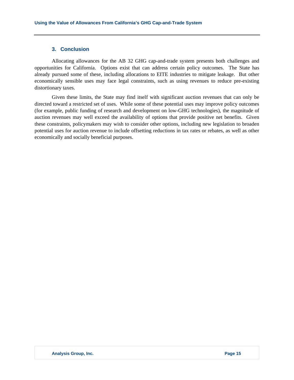# **3. Conclusion**

Allocating allowances for the AB 32 GHG cap-and-trade system presents both challenges and opportunities for California. Options exist that can address certain policy outcomes. The State has already pursued some of these, including allocations to EITE industries to mitigate leakage. But other economically sensible uses may face legal constraints, such as using revenues to reduce pre-existing distortionary taxes.

Given these limits, the State may find itself with significant auction revenues that can only be directed toward a restricted set of uses. While some of these potential uses may improve policy outcomes (for example, public funding of research and development on low-GHG technologies), the magnitude of auction revenues may well exceed the availability of options that provide positive net benefits. Given these constraints, policymakers may wish to consider other options, including new legislation to broaden potential uses for auction revenue to include offsetting reductions in tax rates or rebates, as well as other economically and socially beneficial purposes.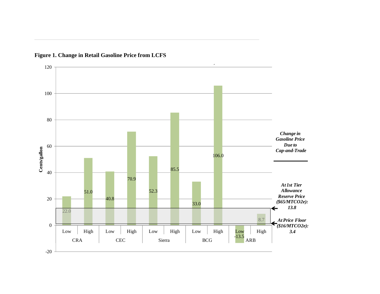

**Figure 1. Change in Retail Gasoline Price from LCFS**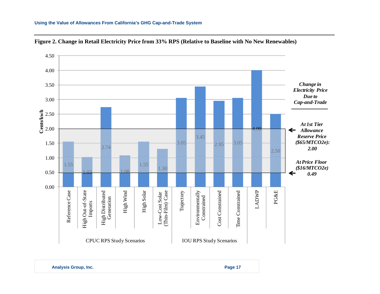#### **Using the Value of Allowances From California's GHG Cap-and-Trade System**





**Analysis Group, Inc. Page 17 Page 17**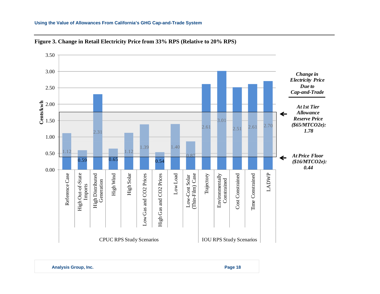## **Using the Value of Allowances From California's GHG Cap-and-Trade System**





**Analysis Group, Inc. Page 18 Page 18**